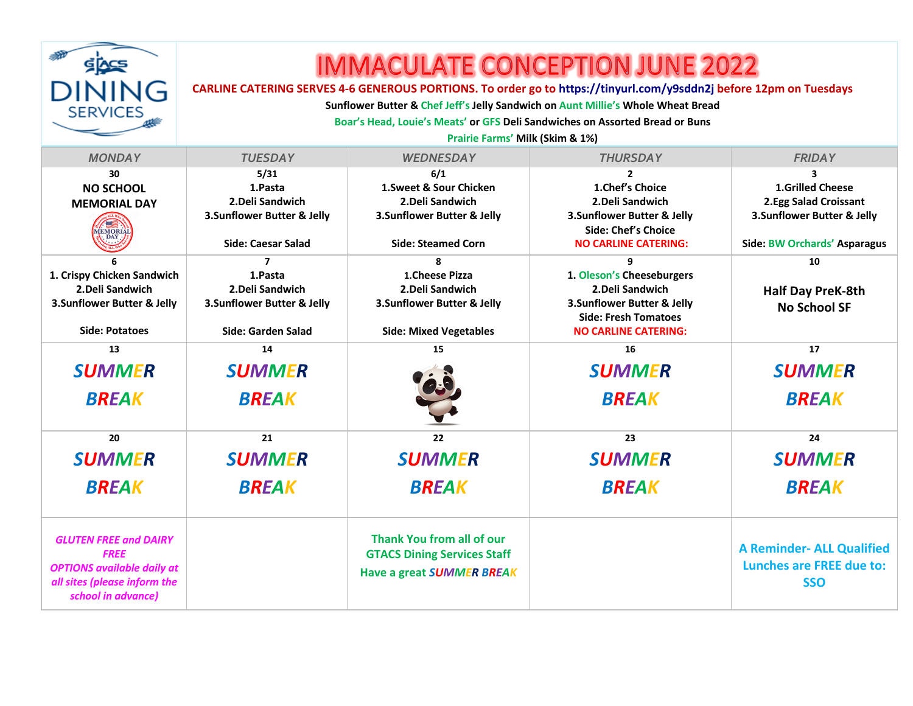

## **IMMACULATE CONCEPTION JUNE 2022**

## **CARLINE CATERING SERVES 4-6 GENEROUS PORTIONS. To order go to https://tinyurl.com/y9sddn2j before 12pm on Tuesdays**

**Sunflower Butter & Chef Jeff's Jelly Sandwich on Aunt Millie's Whole Wheat Bread**

**Boar's Head, Louie's Meats' or GFS Deli Sandwiches on Assorted Bread or Buns**

**Prairie Farms' Milk (Skim & 1%)**

| <b>MONDAY</b>                     | <b>TUESDAY</b>             | <b>WEDNESDAY</b>                   | <b>THURSDAY</b>             | <b>FRIDAY</b>                    |
|-----------------------------------|----------------------------|------------------------------------|-----------------------------|----------------------------------|
| 30                                | 5/31                       | 6/1                                | $\overline{2}$              | 3                                |
| <b>NO SCHOOL</b>                  | 1.Pasta                    | 1. Sweet & Sour Chicken            | 1. Chef's Choice            | <b>1.Grilled Cheese</b>          |
| <b>MEMORIAL DAY</b>               | 2. Deli Sandwich           | 2. Deli Sandwich                   | 2. Deli Sandwich            | 2.Egg Salad Croissant            |
|                                   | 3.Sunflower Butter & Jelly | 3. Sunflower Butter & Jelly        | 3.Sunflower Butter & Jelly  | 3.Sunflower Butter & Jelly       |
| <b>MORIA</b><br>DAY.              |                            |                                    | <b>Side: Chef's Choice</b>  |                                  |
|                                   | Side: Caesar Salad         | <b>Side: Steamed Corn</b>          | <b>NO CARLINE CATERING:</b> | Side: BW Orchards' Asparagus     |
|                                   | 7                          | 8                                  | 9                           | 10                               |
| 1. Crispy Chicken Sandwich        | 1.Pasta                    | 1.Cheese Pizza                     | 1. Oleson's Cheeseburgers   |                                  |
| 2. Deli Sandwich                  | 2. Deli Sandwich           | 2. Deli Sandwich                   | 2. Deli Sandwich            | <b>Half Day PreK-8th</b>         |
| 3. Sunflower Butter & Jelly       | 3.Sunflower Butter & Jelly | 3. Sunflower Butter & Jelly        | 3.Sunflower Butter & Jelly  | <b>No School SF</b>              |
|                                   |                            |                                    | <b>Side: Fresh Tomatoes</b> |                                  |
| <b>Side: Potatoes</b>             | Side: Garden Salad         | <b>Side: Mixed Vegetables</b>      | <b>NO CARLINE CATERING:</b> |                                  |
| 13                                | 14                         | 15                                 | 16                          | 17                               |
| <b>SUMMER</b>                     | <b>SUMMER</b>              | $\ddot{\mathbf{c}}$                | <b>SUMMER</b>               | <b>SUMMER</b>                    |
| <b>BREAK</b>                      | <b>BREAK</b>               |                                    | <b>BREAK</b>                | <b>BREAK</b>                     |
|                                   |                            |                                    |                             |                                  |
|                                   |                            |                                    |                             |                                  |
| 20                                | 21                         | 22                                 | 23                          | 24                               |
| <b>SUMMER</b>                     | <b>SUMMER</b>              | <b>SUMMER</b>                      | <b>SUMMER</b>               | <b>SUMMER</b>                    |
| <b>BREAK</b>                      | <b>BREAK</b>               | <b>BREAK</b>                       | <b>BREAK</b>                | <b>BREAK</b>                     |
|                                   |                            |                                    |                             |                                  |
|                                   |                            |                                    |                             |                                  |
| <b>GLUTEN FREE and DAIRY</b>      |                            | Thank You from all of our          |                             | <b>A Reminder- ALL Qualified</b> |
| <b>FREE</b>                       |                            | <b>GTACS Dining Services Staff</b> |                             | <b>Lunches are FREE due to:</b>  |
| <b>OPTIONS available daily at</b> |                            | Have a great SUMMER BREAK          |                             |                                  |
| all sites (please inform the      |                            |                                    |                             | <b>SSO</b>                       |
| school in advance)                |                            |                                    |                             |                                  |